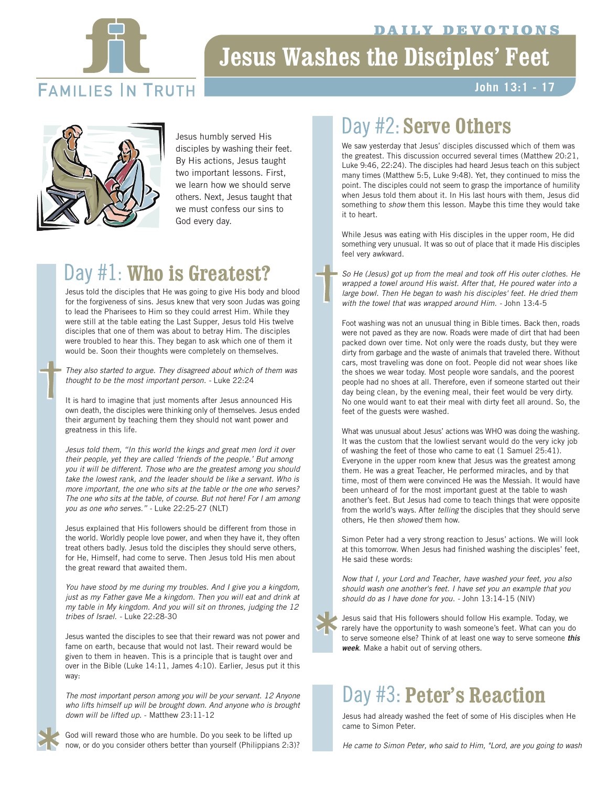#### **ILY DEVOTIONS**



# **Jesus Washes the Disciples' Feet**

### **FAMILIES IN TRUTH**

### **John 13:1 - 17**



Jesus humbly served His disciples by washing their feet. By His actions, Jesus taught two important lessons. First, we learn how we should serve others. Next, Jesus taught that we must confess our sins to God every day.

### Day #1: **Who is Greatest?**

Jesus told the disciples that He was going to give His body and blood for the forgiveness of sins. Jesus knew that very soon Judas was going to lead the Pharisees to Him so they could arrest Him. While they were still at the table eating the Last Supper, Jesus told His twelve disciples that one of them was about to betray Him. The disciples were troubled to hear this. They began to ask which one of them it would be. Soon their thoughts were completely on themselves.

*They also started to argue. They disagreed about which of them was thought to be the most important person. -* Luke 22:24

It is hard to imagine that just moments after Jesus announced His own death, the disciples were thinking only of themselves. Jesus ended their argument by teaching them they should not want power and greatness in this life.

*Jesus told them, "In this world the kings and great men lord it over their people, yet they are called 'friends of the people.' But among you it will be different. Those who are the greatest among you should take the lowest rank, and the leader should be like a servant. Who is more important, the one who sits at the table or the one who serves? The one who sits at the table, of course. But not here! For I am among you as one who serves." -* Luke 22:25-27 (NLT)

Jesus explained that His followers should be different from those in the world. Worldly people love power, and when they have it, they often treat others badly. Jesus told the disciples they should serve others, for He, Himself, had come to serve. Then Jesus told His men about the great reward that awaited them.

*You have stood by me during my troubles. And I give you a kingdom, just as my Father gave Me a kingdom. Then you will eat and drink at my table in My kingdom. And you will sit on thrones, judging the 12 tribes of Israel. -* Luke 22:28-30

Jesus wanted the disciples to see that their reward was not power and fame on earth, because that would not last. Their reward would be given to them in heaven. This is a principle that is taught over and over in the Bible (Luke 14:11, James 4:10). Earlier, Jesus put it this way:

*The most important person among you will be your servant. 12 Anyone who lifts himself up will be brought down. And anyone who is brought down will be lifted up.* - Matthew 23:11-12

God will reward those who are humble. Do you seek to be lifted up now, or do you consider others better than yourself (Philippians 2:3)?

## Day #2: Serve Others

We saw yesterday that Jesus' disciples discussed which of them was the greatest. This discussion occurred several times (Matthew 20:21, Luke 9:46, 22:24). The disciples had heard Jesus teach on this subject many times (Matthew 5:5, Luke 9:48). Yet, they continued to miss the point. The disciples could not seem to grasp the importance of humility when Jesus told them about it. In His last hours with them, Jesus did something to *show* them this lesson. Maybe this time they would take it to heart.

While Jesus was eating with His disciples in the upper room, He did something very unusual. It was so out of place that it made His disciples feel very awkward.

*So He (Jesus) got up from the meal and took off His outer clothes. He wrapped a towel around His waist. After that, He poured water into a large bowl. Then He began to wash his disciples' feet. He dried them with the towel that was wrapped around Him. -* John 13:4-5

Foot washing was not an unusual thing in Bible times. Back then, roads were not paved as they are now. Roads were made of dirt that had been packed down over time. Not only were the roads dusty, but they were dirty from garbage and the waste of animals that traveled there. Without cars, most traveling was done on foot. People did not wear shoes like the shoes we wear today. Most people wore sandals, and the poorest people had no shoes at all. Therefore, even if someone started out their day being clean, by the evening meal, their feet would be very dirty. No one would want to eat their meal with dirty feet all around. So, the feet of the guests were washed.

What was unusual about Jesus' actions was WHO was doing the washing. It was the custom that the lowliest servant would do the very icky job of washing the feet of those who came to eat (1 Samuel 25:41). Everyone in the upper room knew that Jesus was the greatest among them. He was a great Teacher, He performed miracles, and by that time, most of them were convinced He was the Messiah. It would have been unheard of for the most important guest at the table to wash another's feet. But Jesus had come to teach things that were opposite from the world's ways. After *telling* the disciples that they should serve others, He then *showed* them how.

Simon Peter had a very strong reaction to Jesus' actions. We will look at this tomorrow. When Jesus had finished washing the disciples' feet, He said these words:

*Now that I, your Lord and Teacher, have washed your feet, you also should wash one another's feet. I have set you an example that you should do as I have done for you. -* John 13:14-15 (NIV)

Jesus said that His followers should follow His example. Today, we rarely have the opportunity to wash someone's feet. What can you do to serve someone else? Think of at least one way to serve someone *this week*. Make a habit out of serving others.

### Day #3: Peter's Reaction

Jesus had already washed the feet of some of His disciples when He came to Simon Peter.

*He came to Simon Peter, who said to Him, "Lord, are you going to wash*